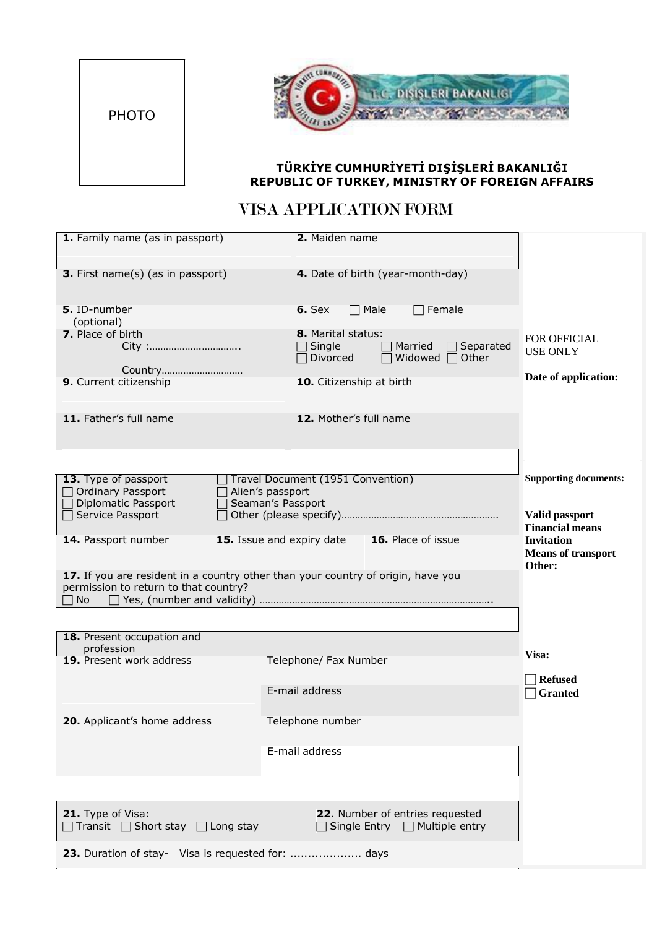



## **TÜRKİYE CUMHURİYETİ DIŞİŞLERİ BAKANLIĞI REPUBLIC OF TURKEY, MINISTRY OF FOREIGN AFFAIRS**

## VISA APPLICATION FORM

| 1. Family name (as in passport)                                                      | 2. Maiden name                                                                       |                                                                                    |
|--------------------------------------------------------------------------------------|--------------------------------------------------------------------------------------|------------------------------------------------------------------------------------|
| <b>3.</b> First name(s) (as in passport)                                             | 4. Date of birth (year-month-day)                                                    |                                                                                    |
| 5. ID-number<br>(optional)                                                           | $\Box$ Male<br>$\Box$ Female<br>$6.$ Sex                                             |                                                                                    |
| 7. Place of birth<br>City :                                                          | 8. Marital status:<br>Single<br>Married<br>Separated<br>Divorced<br>Widowed<br>Other | FOR OFFICIAL<br><b>USE ONLY</b>                                                    |
| 9. Current citizenship                                                               | 10. Citizenship at birth                                                             | Date of application:                                                               |
| 11. Father's full name                                                               | 12. Mother's full name                                                               |                                                                                    |
|                                                                                      |                                                                                      |                                                                                    |
| 13. Type of passport<br>Ordinary Passport<br>Diplomatic Passport<br>Service Passport | Travel Document (1951 Convention)<br>Alien's passport<br>Seaman's Passport           | <b>Supporting documents:</b><br>Valid passport                                     |
| 14. Passport number                                                                  | 15. Issue and expiry date<br><b>16.</b> Place of issue                               | <b>Financial means</b><br><b>Invitation</b><br><b>Means of transport</b><br>Other: |
| permission to return to that country?<br>No                                          | 17. If you are resident in a country other than your country of origin, have you     |                                                                                    |
|                                                                                      |                                                                                      |                                                                                    |
| 18. Present occupation and<br>profession                                             |                                                                                      |                                                                                    |
| 19. Present work address                                                             | Telephone/ Fax Number                                                                | Visa:                                                                              |
|                                                                                      | E-mail address                                                                       | <b>Refused</b><br><b>Granted</b>                                                   |
| 20. Applicant's home address                                                         | Telephone number                                                                     |                                                                                    |
|                                                                                      | E-mail address                                                                       |                                                                                    |
|                                                                                      |                                                                                      |                                                                                    |
| 21. Type of Visa:<br>$\Box$ Transit $\Box$ Short stay $\Box$ Long stay               | 22. Number of entries requested<br>$\Box$ Single Entry $\Box$ Multiple entry         |                                                                                    |
| 23. Duration of stay- Visa is requested for:  days                                   |                                                                                      |                                                                                    |